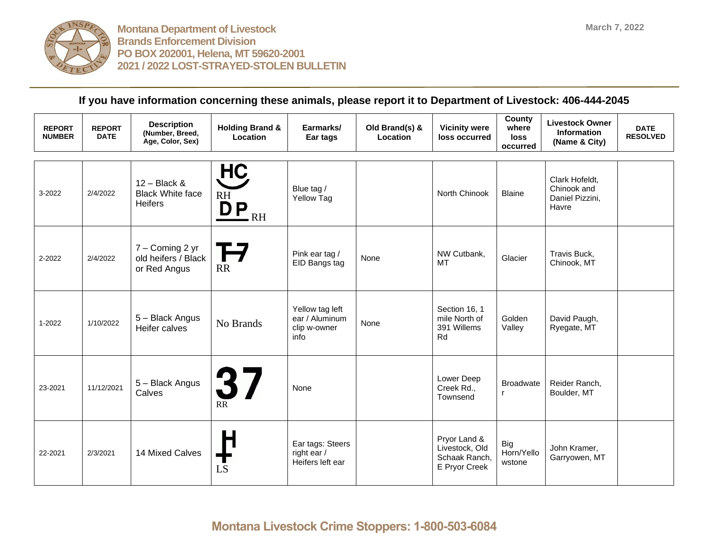

| <b>REPORT</b><br><b>NUMBER</b> | <b>REPORT</b><br><b>DATE</b> | <b>Description</b><br>(Number, Breed,<br>Age, Color, Sex)   | <b>Holding Brand &amp;</b><br>Location                                     | Earmarks/<br>Ear tags                                     | Old Brand(s) &<br>Location | <b>Vicinity were</b><br>loss occurred                            | County<br>where<br><b>loss</b><br>occurred | <b>Livestock Owner</b><br><b>Information</b><br>(Name & City) | <b>DATE</b><br><b>RESOLVED</b> |
|--------------------------------|------------------------------|-------------------------------------------------------------|----------------------------------------------------------------------------|-----------------------------------------------------------|----------------------------|------------------------------------------------------------------|--------------------------------------------|---------------------------------------------------------------|--------------------------------|
| 3-2022                         | 2/4/2022                     | $12 - Black$ &<br><b>Black White face</b><br><b>Heifers</b> | <b>HC</b><br>RH<br>$\overrightarrow{D}$ $\overrightarrow{P}$ <sub>RH</sub> | Blue tag /<br>Yellow Tag                                  |                            | North Chinook                                                    | <b>Blaine</b>                              | Clark Hofeldt,<br>Chinook and<br>Daniel Pizzini,<br>Havre     |                                |
| 2-2022                         | 2/4/2022                     | 7 - Coming 2 yr<br>old heifers / Black<br>or Red Angus      | T 7<br>RR                                                                  | Pink ear tag /<br>EID Bangs tag                           | None                       | NW Cutbank,<br>MT                                                | Glacier                                    | Travis Buck,<br>Chinook, MT                                   |                                |
| 1-2022                         | 1/10/2022                    | 5 - Black Angus<br>Heifer calves                            | No Brands                                                                  | Yellow tag left<br>ear / Aluminum<br>clip w-owner<br>info | None                       | Section 16, 1<br>mile North of<br>391 Willems<br>Rd              | Golden<br>Valley                           | David Paugh,<br>Ryegate, MT                                   |                                |
| 23-2021                        | 11/12/2021                   | 5 - Black Angus<br>Calves                                   | 37<br>$R\overline{R}$                                                      | None                                                      |                            | Lower Deep<br>Creek Rd.,<br>Townsend                             | <b>Broadwate</b><br>$\mathsf{r}$           | Reider Ranch,<br>Boulder, MT                                  |                                |
| 22-2021                        | 2/3/2021                     | 14 Mixed Calves                                             | т<br><b>LS</b>                                                             | Ear tags: Steers<br>right ear /<br>Heifers left ear       |                            | Pryor Land &<br>Livestock, Old<br>Schaak Ranch,<br>E Pryor Creek | Big<br>Horn/Yello<br>wstone                | John Kramer,<br>Garryowen, MT                                 |                                |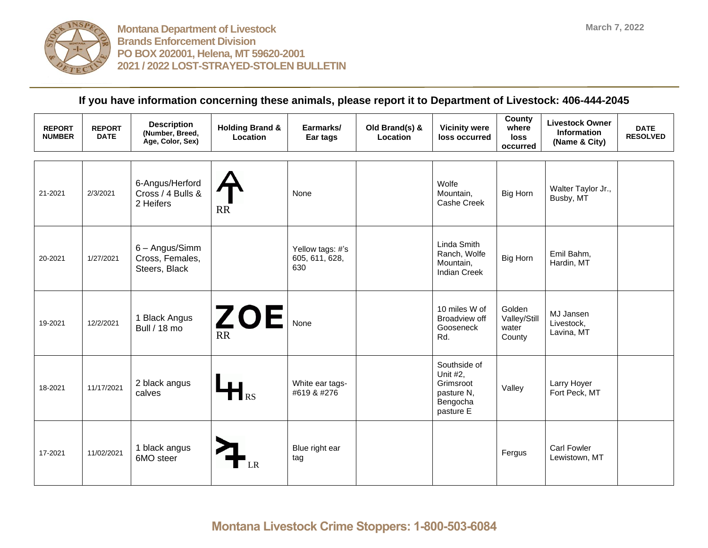

| <b>REPORT</b><br><b>NUMBER</b> | <b>REPORT</b><br><b>DATE</b> | <b>Description</b><br>(Number, Breed,<br>Age, Color, Sex) | <b>Holding Brand &amp;</b><br>Location | Earmarks/<br>Ear tags                     | Old Brand(s) &<br>Location | <b>Vicinity were</b><br>loss occurred                                        | County<br>where<br><b>loss</b><br>occurred | <b>Livestock Owner</b><br>Information<br>(Name & City) | <b>DATE</b><br><b>RESOLVED</b> |
|--------------------------------|------------------------------|-----------------------------------------------------------|----------------------------------------|-------------------------------------------|----------------------------|------------------------------------------------------------------------------|--------------------------------------------|--------------------------------------------------------|--------------------------------|
| 21-2021                        | 2/3/2021                     | 6-Angus/Herford<br>Cross / 4 Bulls &<br>2 Heifers         | <b>RR</b>                              | None                                      |                            | Wolfe<br>Mountain,<br>Cashe Creek                                            | Big Horn                                   | Walter Taylor Jr.,<br>Busby, MT                        |                                |
| 20-2021                        | 1/27/2021                    | 6 - Angus/Simm<br>Cross, Females,<br>Steers, Black        |                                        | Yellow tags: #'s<br>605, 611, 628,<br>630 |                            | Linda Smith<br>Ranch, Wolfe<br>Mountain,<br><b>Indian Creek</b>              | Big Horn                                   | Emil Bahm,<br>Hardin, MT                               |                                |
| 19-2021                        | 12/2/2021                    | 1 Black Angus<br>Bull / 18 mo                             | <b>ZOE</b><br><b>RR</b>                | None                                      |                            | 10 miles W of<br>Broadview off<br>Gooseneck<br>Rd.                           | Golden<br>Valley/Still<br>water<br>County  | MJ Jansen<br>Livestock,<br>Lavina, MT                  |                                |
| 18-2021                        | 11/17/2021                   | 2 black angus<br>calves                                   | $\mathbf{H}_{\mathrm{RS}}$             | White ear tags-<br>#619 & #276            |                            | Southside of<br>Unit #2,<br>Grimsroot<br>pasture N,<br>Bengocha<br>pasture E | Valley                                     | Larry Hoyer<br>Fort Peck, MT                           |                                |
| 17-2021                        | 11/02/2021                   | 1 black angus<br>6MO steer                                | LR                                     | Blue right ear<br>tag                     |                            |                                                                              | Fergus                                     | <b>Carl Fowler</b><br>Lewistown, MT                    |                                |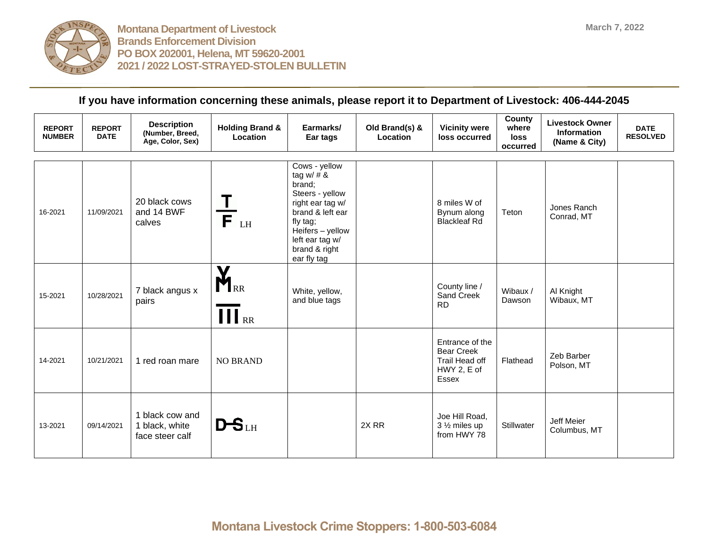

| <b>REPORT</b><br><b>NUMBER</b> | <b>REPORT</b><br><b>DATE</b> | <b>Description</b><br>(Number, Breed,<br>Age, Color, Sex) | <b>Holding Brand &amp;</b><br>Location                            | Earmarks/<br>Ear tags                                                                                                                                                                 | Old Brand(s) &<br>Location | <b>Vicinity were</b><br>loss occurred                                          | <b>County</b><br>where<br><b>loss</b><br>occurred | <b>Livestock Owner</b><br><b>Information</b><br>(Name & City) | <b>DATE</b><br><b>RESOLVED</b> |
|--------------------------------|------------------------------|-----------------------------------------------------------|-------------------------------------------------------------------|---------------------------------------------------------------------------------------------------------------------------------------------------------------------------------------|----------------------------|--------------------------------------------------------------------------------|---------------------------------------------------|---------------------------------------------------------------|--------------------------------|
| 16-2021                        | 11/09/2021                   | 20 black cows<br>and 14 BWF<br>calves                     | $\stackrel{\text{-}}{\mathsf{F}}_{\scriptscriptstyle{\text{LH}}}$ | Cows - yellow<br>tag w/ $# 8$<br>brand:<br>Steers - yellow<br>right ear tag w/<br>brand & left ear<br>fly tag;<br>Heifers - yellow<br>left ear tag w/<br>brand & right<br>ear fly tag |                            | 8 miles W of<br>Bynum along<br><b>Blackleaf Rd</b>                             | Teton                                             | Jones Ranch<br>Conrad, MT                                     |                                |
| 15-2021                        | 10/28/2021                   | 7 black angus x<br>pairs                                  | $\mathbf{X}_{\text{\tiny RR}}$<br>$\prod$ <sub>RR</sub>           | White, yellow,<br>and blue tags                                                                                                                                                       |                            | County line /<br>Sand Creek<br><b>RD</b>                                       | Wibaux /<br>Dawson                                | Al Knight<br>Wibaux, MT                                       |                                |
| 14-2021                        | 10/21/2021                   | 1 red roan mare                                           | <b>NO BRAND</b>                                                   |                                                                                                                                                                                       |                            | Entrance of the<br><b>Bear Creek</b><br>Trail Head off<br>HWY 2, E of<br>Essex | Flathead                                          | Zeb Barber<br>Polson, MT                                      |                                |
| 13-2021                        | 09/14/2021                   | 1 black cow and<br>1 black, white<br>face steer calf      | $DS$ LH                                                           |                                                                                                                                                                                       | 2X <sub>RR</sub>           | Joe Hill Road,<br>3 1/2 miles up<br>from HWY 78                                | Stillwater                                        | Jeff Meier<br>Columbus, MT                                    |                                |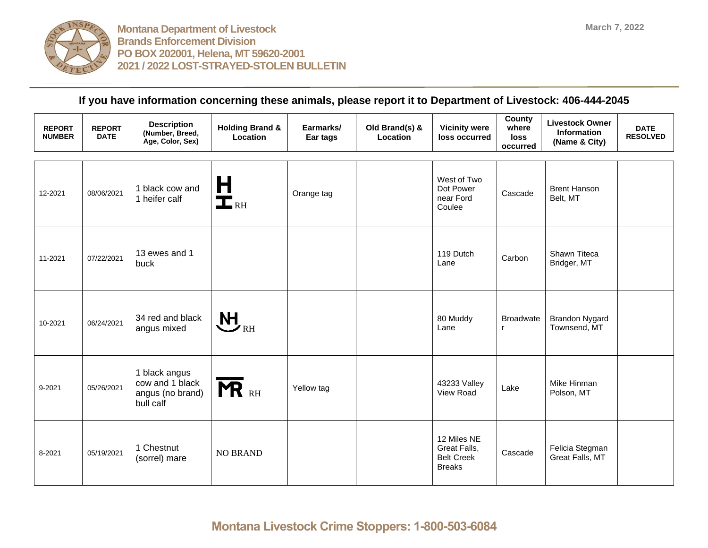

| <b>REPORT</b><br><b>NUMBER</b> | <b>REPORT</b><br><b>DATE</b> | <b>Description</b><br>(Number, Breed,<br>Age, Color, Sex)         | <b>Holding Brand &amp;</b><br><b>Location</b>                     | Earmarks/<br>Ear tags | Old Brand(s) &<br>Location | <b>Vicinity were</b><br>loss occurred                             | County<br>where<br>loss<br>occurred | <b>Livestock Owner</b><br>Information<br>(Name & City) | <b>DATE</b><br><b>RESOLVED</b> |
|--------------------------------|------------------------------|-------------------------------------------------------------------|-------------------------------------------------------------------|-----------------------|----------------------------|-------------------------------------------------------------------|-------------------------------------|--------------------------------------------------------|--------------------------------|
| 12-2021                        | 08/06/2021                   | 1 black cow and<br>1 heifer calf                                  | $\frac{\mathsf{H}}{\mathsf{L}}_{\scriptscriptstyle{\mathrm{RH}}}$ | Orange tag            |                            | West of Two<br>Dot Power<br>near Ford<br>Coulee                   | Cascade                             | <b>Brent Hanson</b><br>Belt, MT                        |                                |
| 11-2021                        | 07/22/2021                   | 13 ewes and 1<br>buck                                             |                                                                   |                       |                            | 119 Dutch<br>Lane                                                 | Carbon                              | Shawn Titeca<br>Bridger, MT                            |                                |
| 10-2021                        | 06/24/2021                   | 34 red and black<br>angus mixed                                   | $\bigvee_{\texttt{RH}}$                                           |                       |                            | 80 Muddy<br>Lane                                                  | <b>Broadwate</b><br>$\mathsf{r}$    | <b>Brandon Nygard</b><br>Townsend, MT                  |                                |
| 9-2021                         | 05/26/2021                   | 1 black angus<br>cow and 1 black<br>angus (no brand)<br>bull calf | <b>MR</b> RH                                                      | Yellow tag            |                            | 43233 Valley<br>View Road                                         | Lake                                | Mike Hinman<br>Polson, MT                              |                                |
| 8-2021                         | 05/19/2021                   | 1 Chestnut<br>(sorrel) mare                                       | <b>NO BRAND</b>                                                   |                       |                            | 12 Miles NE<br>Great Falls,<br><b>Belt Creek</b><br><b>Breaks</b> | Cascade                             | Felicia Stegman<br>Great Falls, MT                     |                                |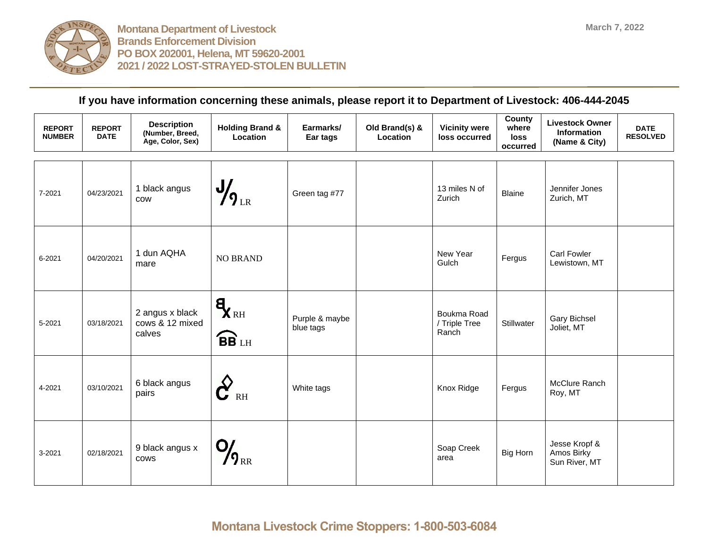

| <b>REPORT</b><br><b>NUMBER</b> | <b>REPORT</b><br><b>DATE</b> | <b>Description</b><br>(Number, Breed,<br>Age, Color, Sex) | <b>Holding Brand &amp;</b><br>Location              | Earmarks/<br>Ear tags       | Old Brand(s) &<br>Location | <b>Vicinity were</b><br>loss occurred | County<br>where<br>loss<br>occurred | <b>Livestock Owner</b><br>Information<br>(Name & City) | <b>DATE</b><br><b>RESOLVED</b> |
|--------------------------------|------------------------------|-----------------------------------------------------------|-----------------------------------------------------|-----------------------------|----------------------------|---------------------------------------|-------------------------------------|--------------------------------------------------------|--------------------------------|
| 7-2021                         | 04/23/2021                   | 1 black angus<br><b>COW</b>                               | $\frac{1}{2}$ <sub>LR</sub>                         | Green tag #77               |                            | 13 miles N of<br>Zurich               | <b>Blaine</b>                       | Jennifer Jones<br>Zurich, MT                           |                                |
| 6-2021                         | 04/20/2021                   | 1 dun AQHA<br>mare                                        | <b>NO BRAND</b>                                     |                             |                            | New Year<br>Gulch                     | Fergus                              | <b>Carl Fowler</b><br>Lewistown, MT                    |                                |
| 5-2021                         | 03/18/2021                   | 2 angus x black<br>cows & 12 mixed<br>calves              | $\mathbf{q}_{\text{RH}}$<br><b>BB</b> <sub>LH</sub> | Purple & maybe<br>blue tags |                            | Boukma Road<br>/ Triple Tree<br>Ranch | Stillwater                          | Gary Bichsel<br>Joliet, MT                             |                                |
| 4-2021                         | 03/10/2021                   | 6 black angus<br>pairs                                    | $\mathbf{C}^{\prime}$<br>$R$ H                      | White tags                  |                            | Knox Ridge                            | Fergus                              | McClure Ranch<br>Roy, MT                               |                                |
| 3-2021                         | 02/18/2021                   | 9 black angus x<br>cows                                   | O,<br>$\boldsymbol{\eta}_{\text{\tiny RR}}$         |                             |                            | Soap Creek<br>area                    | Big Horn                            | Jesse Kropf &<br>Amos Birky<br>Sun River, MT           |                                |